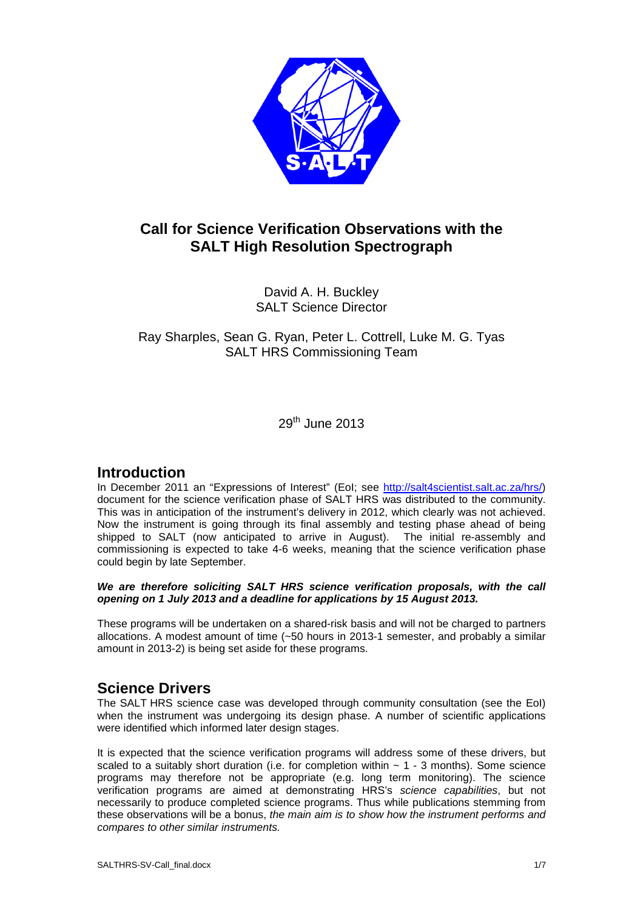

# **Call for Science Verification Observations with the SALT High Resolution Spectrograph**

David A. H. Buckley SALT Science Director

Ray Sharples, Sean G. Ryan, Peter L. Cottrell, Luke M. G. G. Tyas SALT HRS Commissioning Team

29th June 2013

## **Introduction**

In December 2011 an "Expressions of Interest" (EoI; see http://salt4scientist.salt.ac.za/hrs/) document for the science verification phase of SALT HRS was distributed to the community. This was in anticipation of the instrument's delivery in 2012, which clearly was not achieved. Now the instrument is going through its final assembly and testing phase ah ahead of being shipped to SALT (now anticipated to arrive in August). The initial re-assembly and commissioning is expected to take 4-6 weeks, meaning that the science verification phase could begin by late September.

### We are therefore soliciting SALT HRS science verification proposals, with the call opening on 1 July 2013 and a deadline for applications by 15 August 2013.

These programs will be undertaken on a shared-risk basis and will not be charged to partners allocations. A modest amount of time (~50 hours in 2013-1 semester, and probably a similar amount in 2013-2) is being set aside for these programs. These programs will be undertaken on a shared-risk basis and will not be charged to partners<br>allocations. A modest amount of time (~50 hours in 2013-1 semester, and probably a similar<br>amount in 2013-2) is being set aside f

## **Science Drivers**

when the instrument was undergoing its design phase. A number of scientific applications were identified which informed later design stages.

It is expected that the science verification programs will address some of these drivers, but when the instrument was undergoing its design phase. A number of scientific applications<br>were identified which informed later design stages.<br>It is expected that the science verification programs will address some of these programs may therefore not be appropriate (e.g. long term monitoring). The science verification programs are aimed at demonstrating HRS's science capabilities, but not necessarily to produce completed science programs. Thus while publications stemming from these observations will be a bonus, the main aim is to show how the instrument performs and compares to other similar instruments.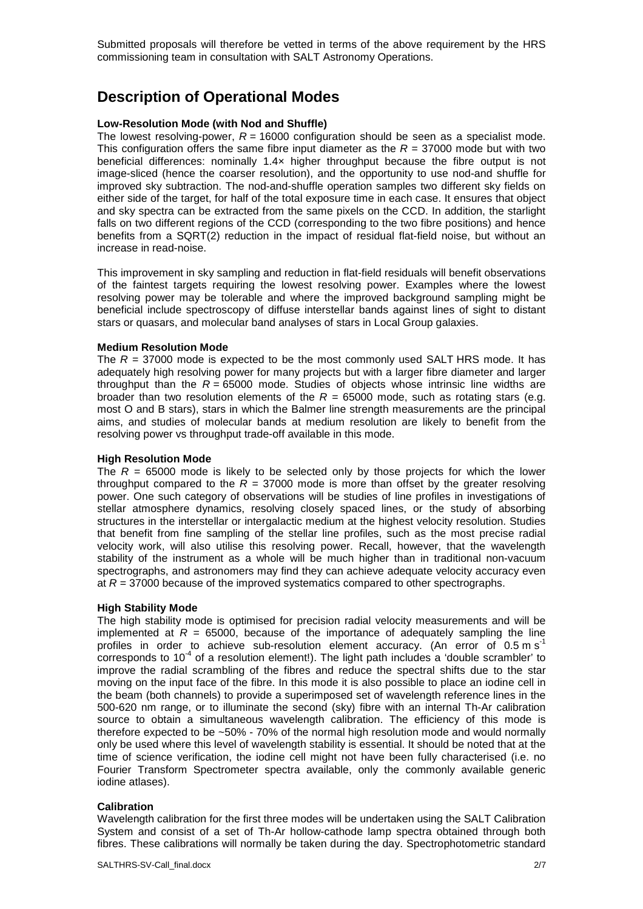Submitted proposals will therefore be vetted in terms of the above requirement by the HRS commissioning team in consultation with SALT Astronomy Operations.

## **Description of Operational Modes**

### **Low-Resolution Mode (with Nod and Shuffle)**

The lowest resolving-power,  $R = 16000$  configuration should be seen as a specialist mode. This configuration offers the same fibre input diameter as the  $R = 37000$  mode but with two beneficial differences: nominally 1.4× higher throughput because the fibre output is not image-sliced (hence the coarser resolution), and the opportunity to use nod-and shuffle for improved sky subtraction. The nod-and-shuffle operation samples two different sky fields on either side of the target, for half of the total exposure time in each case. It ensures that object and sky spectra can be extracted from the same pixels on the CCD. In addition, the starlight falls on two different regions of the CCD (corresponding to the two fibre positions) and hence benefits from a SQRT(2) reduction in the impact of residual flat-field noise, but without an increase in read-noise.

This improvement in sky sampling and reduction in flat-field residuals will benefit observations of the faintest targets requiring the lowest resolving power. Examples where the lowest resolving power may be tolerable and where the improved background sampling might be beneficial include spectroscopy of diffuse interstellar bands against lines of sight to distant stars or quasars, and molecular band analyses of stars in Local Group galaxies.

#### **Medium Resolution Mode**

The  $R = 37000$  mode is expected to be the most commonly used SALT HRS mode. It has adequately high resolving power for many projects but with a larger fibre diameter and larger throughput than the  $R = 65000$  mode. Studies of objects whose intrinsic line widths are broader than two resolution elements of the  $R = 65000$  mode, such as rotating stars (e.g. most O and B stars), stars in which the Balmer line strength measurements are the principal aims, and studies of molecular bands at medium resolution are likely to benefit from the resolving power vs throughput trade-off available in this mode.

#### **High Resolution Mode**

The  $R = 65000$  mode is likely to be selected only by those projects for which the lower throughput compared to the  $\overline{R}$  = 37000 mode is more than offset by the greater resolving power. One such category of observations will be studies of line profiles in investigations of stellar atmosphere dynamics, resolving closely spaced lines, or the study of absorbing structures in the interstellar or intergalactic medium at the highest velocity resolution. Studies that benefit from fine sampling of the stellar line profiles, such as the most precise radial velocity work, will also utilise this resolving power. Recall, however, that the wavelength stability of the instrument as a whole will be much higher than in traditional non-vacuum spectrographs, and astronomers may find they can achieve adequate velocity accuracy even at  $R = 37000$  because of the improved systematics compared to other spectrographs.

#### **High Stability Mode**

The high stability mode is optimised for precision radial velocity measurements and will be implemented at  $R = 65000$ , because of the importance of adequately sampling the line profiles in order to achieve sub-resolution element accuracy. (An error of  $0.5 \text{ m s}^{-1}$ corresponds to  $10<sup>-4</sup>$  of a resolution element!). The light path includes a 'double scrambler' to improve the radial scrambling of the fibres and reduce the spectral shifts due to the star moving on the input face of the fibre. In this mode it is also possible to place an iodine cell in the beam (both channels) to provide a superimposed set of wavelength reference lines in the 500-620 nm range, or to illuminate the second (sky) fibre with an internal Th-Ar calibration source to obtain a simultaneous wavelength calibration. The efficiency of this mode is therefore expected to be ~50% - 70% of the normal high resolution mode and would normally only be used where this level of wavelength stability is essential. It should be noted that at the time of science verification, the iodine cell might not have been fully characterised (i.e. no Fourier Transform Spectrometer spectra available, only the commonly available generic iodine atlases).

#### **Calibration**

Wavelength calibration for the first three modes will be undertaken using the SALT Calibration System and consist of a set of Th-Ar hollow-cathode lamp spectra obtained through both fibres. These calibrations will normally be taken during the day. Spectrophotometric standard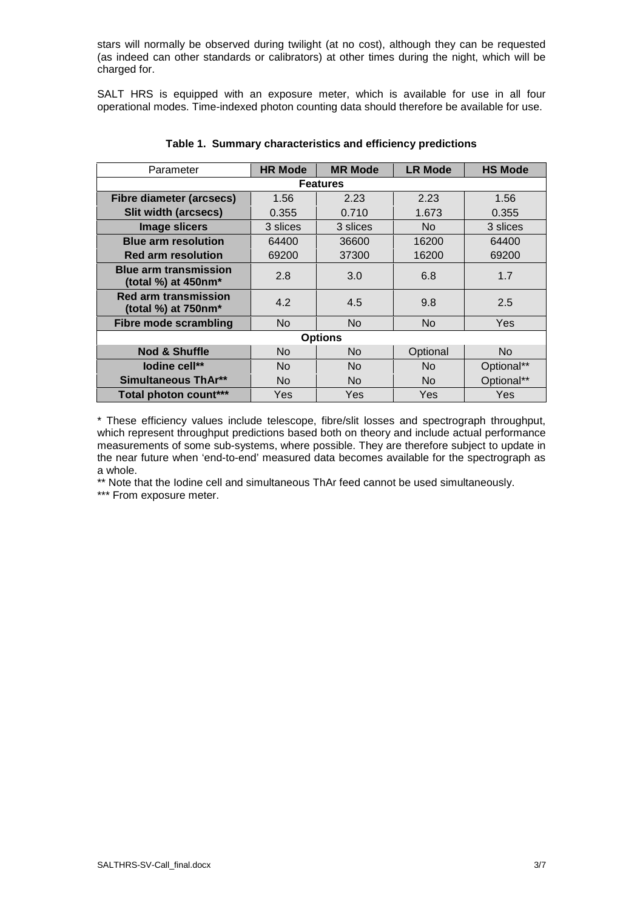stars will normally be observed during twilight (at no cost), although they can be requested (as indeed can other standards or calibrators) at other times during the night, which will be charged for.

SALT HRS is equipped with an exposure meter, which is available for use in all four operational modes. Time-indexed photon counting data should therefore be available for use.

| Parameter                                              | <b>HR Mode</b> | <b>MR Mode</b> | <b>LR Mode</b> | <b>HS Mode</b> |
|--------------------------------------------------------|----------------|----------------|----------------|----------------|
| <b>Features</b>                                        |                |                |                |                |
| <b>Fibre diameter (arcsecs)</b>                        | 1.56           | 2.23           | 2.23           | 1.56           |
| Slit width (arcsecs)                                   | 0.355          | 0.710          | 1.673          | 0.355          |
| <b>Image slicers</b>                                   | 3 slices       | 3 slices       | No             | 3 slices       |
| <b>Blue arm resolution</b>                             | 64400          | 36600          | 16200          | 64400          |
| <b>Red arm resolution</b>                              | 69200          | 37300          | 16200          | 69200          |
| <b>Blue arm transmission</b><br>(total %) at $450$ nm* | 2.8            | 3.0            | 6.8            | 1.7            |
| <b>Red arm transmission</b><br>(total %) at 750nm*     | 4.2            | 4.5            | 9.8            | 2.5            |
| <b>Fibre mode scrambling</b>                           | No.            | No.            | No             | Yes            |
| <b>Options</b>                                         |                |                |                |                |
| <b>Nod &amp; Shuffle</b>                               | <b>No</b>      | No.            | Optional       | <b>No</b>      |
| lodine cell**                                          | N <sub>o</sub> | No.            | No             | Optional**     |
| Simultaneous ThAr**                                    | No.            | No.            | No.            | Optional**     |
| Total photon count***                                  | Yes            | Yes            | Yes            | Yes            |

**Table 1. Summary characteristics and efficiency predictions** 

\* These efficiency values include telescope, fibre/slit losses and spectrograph throughput, which represent throughput predictions based both on theory and include actual performance measurements of some sub-systems, where possible. They are therefore subject to update in the near future when 'end-to-end' measured data becomes available for the spectrograph as a whole.

\*\* Note that the Iodine cell and simultaneous ThAr feed cannot be used simultaneously.

\*\*\* From exposure meter.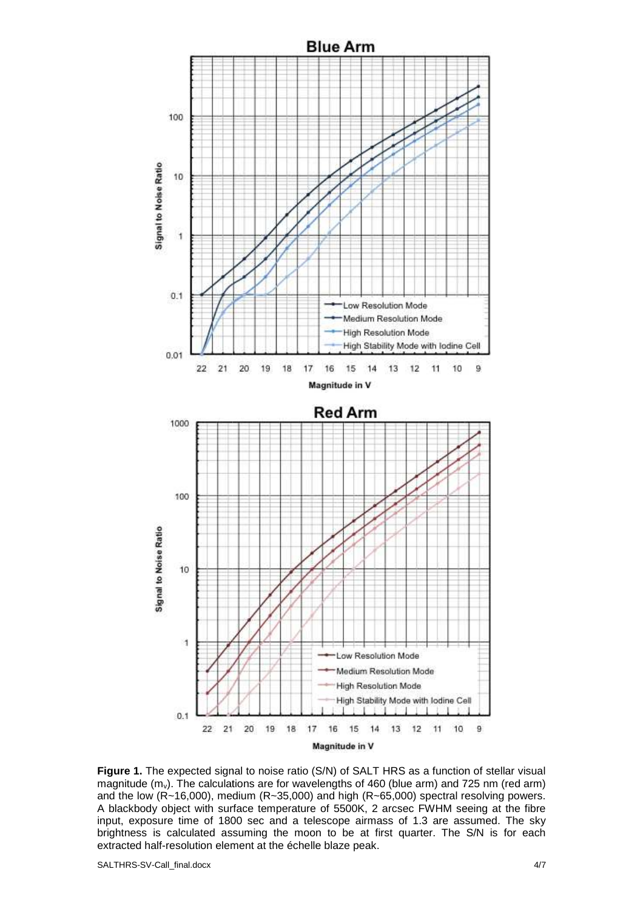

Figure 1. The expected signal to noise ratio (S/N) of SALT HRS as a function of stellar visual magnitude  $(m_v)$ . The calculations are for wavelengths of 460 (blue arm) and 725 nm (red arm) and the low (R~16,000), medium (R~35,000) and high (R~65,000) spectral resolving powers. A blackbody object with surface temperature of 5500K, 2 arcsec FWHM seeing at the fibre input, exposure time of 1800 sec and a telescope airmass of 1.3 are assumed. The sky brightness is calculated assuming the moon to be at first quarter. The extracted half-resolution element at the échelle blaze peak. . The calculations are for wavelengths of 460 (blue arm) and 725 n<br>-16,000), medium (R~35,000) and high (R~65,000) spectral resolv<br>pject with surface temperature of 5500K, 2 arcsec FWHM seeing , exposure time of 1800 sec and a telescope airma<br>tness is calculated assuming the moon to be at fir<br>cted half-resolution element at the échelle blaze peak. S/N is for each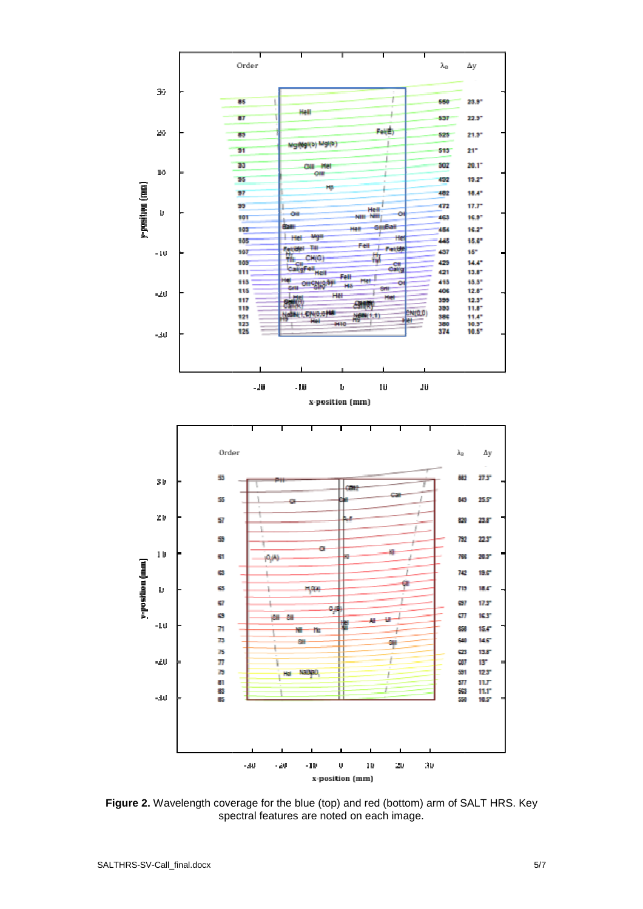

Figure 2. Wavelength coverage for the blue (top) and red (bottom) arm of SALT HRS. Key spectral features are noted on each image.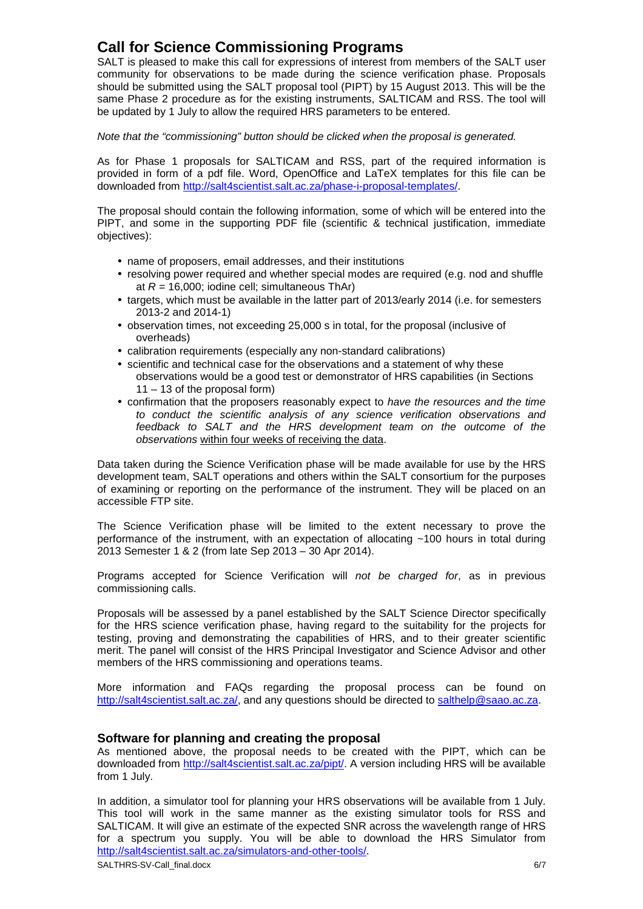# **Call for Science Commissioning Programs**

SALT is pleased to make this call for expressions of interest from members of the SALT user community for observations to be made during the science verification phase. Proposals should be submitted using the SALT proposal tool (PIPT) by 15 August 2013. This will be the same Phase 2 procedure as for the existing instruments, SALTICAM and RSS. The tool will be updated by 1 July to allow the required HRS parameters to be entered.

### Note that the "commissioning" button should be clicked when the proposal is generated.

As for Phase 1 proposals for SALTICAM and RSS, part of the required information is provided in form of a pdf file. Word, OpenOffice and LaTeX templates for this file can be downloaded from http://salt4scientist.salt.ac.za/phase-i-proposal-templates/.

The proposal should contain the following information, some of which will be entered into the PIPT, and some in the supporting PDF file (scientific & technical justification, immediate objectives):

- name of proposers, email addresses, and their institutions
- resolving power required and whether special modes are required (e.g. nod and shuffle at  $R = 16,000$ ; iodine cell; simultaneous ThAr)
- targets, which must be available in the latter part of 2013/early 2014 (i.e. for semesters 2013-2 and 2014-1)
- observation times, not exceeding 25,000 s in total, for the proposal (inclusive of overheads)
- calibration requirements (especially any non-standard calibrations)
- scientific and technical case for the observations and a statement of why these observations would be a good test or demonstrator of HRS capabilities (in Sections 11 – 13 of the proposal form)
- confirmation that the proposers reasonably expect to have the resources and the time to conduct the scientific analysis of any science verification observations and feedback to SALT and the HRS development team on the outcome of the observations within four weeks of receiving the data.

Data taken during the Science Verification phase will be made available for use by the HRS development team, SALT operations and others within the SALT consortium for the purposes of examining or reporting on the performance of the instrument. They will be placed on an accessible FTP site.

The Science Verification phase will be limited to the extent necessary to prove the performance of the instrument, with an expectation of allocating ~100 hours in total during 2013 Semester 1 & 2 (from late Sep 2013 – 30 Apr 2014).

Programs accepted for Science Verification will not be charged for, as in previous commissioning calls.

Proposals will be assessed by a panel established by the SALT Science Director specifically for the HRS science verification phase, having regard to the suitability for the projects for testing, proving and demonstrating the capabilities of HRS, and to their greater scientific merit. The panel will consist of the HRS Principal Investigator and Science Advisor and other members of the HRS commissioning and operations teams.

More information and FAQs regarding the proposal process can be found on http://salt4scientist.salt.ac.za/, and any questions should be directed to salthelp@saao.ac.za.

### **Software for planning and creating the proposal**

As mentioned above, the proposal needs to be created with the PIPT, which can be downloaded from http://salt4scientist.salt.ac.za/pipt/. A version including HRS will be available from 1 July.

SALTHRS-SV-Call\_final.docx 6/7 In addition, a simulator tool for planning your HRS observations will be available from 1 July. This tool will work in the same manner as the existing simulator tools for RSS and SALTICAM. It will give an estimate of the expected SNR across the wavelength range of HRS for a spectrum you supply. You will be able to download the HRS Simulator from http://salt4scientist.salt.ac.za/simulators-and-other-tools/.